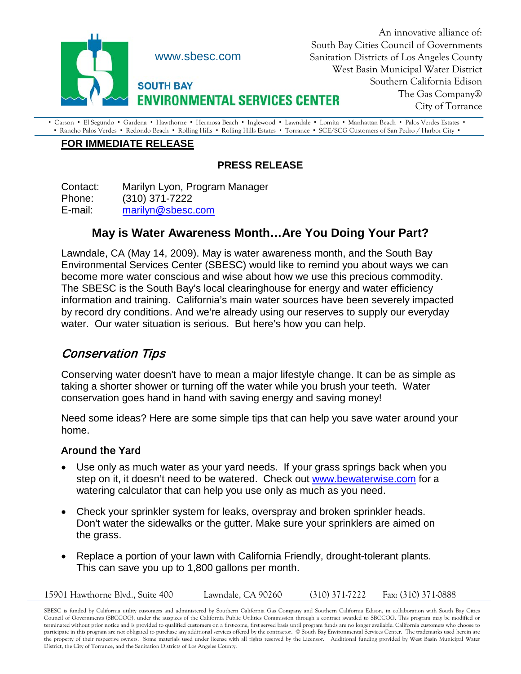

An innovative alliance of: South Bay Cities Council of Governments Sanitation Districts of Los Angeles County West Basin Municipal Water District Southern California Edison The Gas Company® City of Torrance

· Carson · El Segundo · Gardena · Hawthorne · Hermosa Beach · Inglewood · Lawndale · Lomita · Manhattan Beach · Palos Verdes Estates · • Rancho Palos Verdes • Redondo Beach • Rolling Hills • Rolling Hills Estates • Torrance • SCE/SCG Customers of San Pedro / Harbor City •

## **FOR IMMEDIATE RELEASE**

## **PRESS RELEASE**

Contact: Marilyn Lyon, Program Manager Phone: (310) 371-7222 E-mail: [marilyn@sbesc.com](mailto:marilyn@sbesc.com)

## **May is Water Awareness Month…Are You Doing Your Part?**

Lawndale, CA (May 14, 2009). May is water awareness month, and the South Bay Environmental Services Center (SBESC) would like to remind you about ways we can become more water conscious and wise about how we use this precious commodity. The SBESC is the South Bay's local clearinghouse for energy and water efficiency information and training. California's main water sources have been severely impacted by record dry conditions. And we're already using our reserves to supply our everyday water. Our water situation is serious. But here's how you can help.

# Conservation Tips

Conserving water doesn't have to mean a major lifestyle change. It can be as simple as taking a shorter shower or turning off the water while you brush your teeth. Water conservation goes hand in hand with saving energy and saving money!

Need some ideas? Here are some simple tips that can help you save water around your home.

### Around the Yard

- Use only as much water as your yard needs. If your grass springs back when you step on it, it doesn't need to be watered. Check out [www.bewaterwise.com](http://www.bewaterwise.com/) for a watering calculator that can help you use only as much as you need.
- Check your sprinkler system for leaks, overspray and broken sprinkler heads. Don't water the sidewalks or the gutter. Make sure your sprinklers are aimed on the grass.
- Replace a portion of your lawn with California Friendly, drought-tolerant plants. This can save you up to 1,800 gallons per month.

15901 Hawthorne Blvd., Suite 400 Lawndale, CA 90260 (310) 371-7222 Fax: (310) 371-0888

SBESC is funded by California utility customers and administered by Southern California Gas Company and Southern California Edison, in collaboration with South Bay Cities Council of Governments (SBCCOG), under the auspices of the California Public Utilities Commission through a contract awarded to SBCCOG. This program may be modified or terminated without prior notice and is provided to qualified customers on a first-come, first served basis until program funds are no longer available. California customers who choose to participate in this program are not obligated to purchase any additional services offered by the contractor. © South Bay Environmental Services Center. The trademarks used herein are the property of their respective owners. Some materials used under license with all rights reserved by the Licensor. Additional funding provided by West Basin Municipal Water District, the City of Torrance, and the Sanitation Districts of Los Angeles County.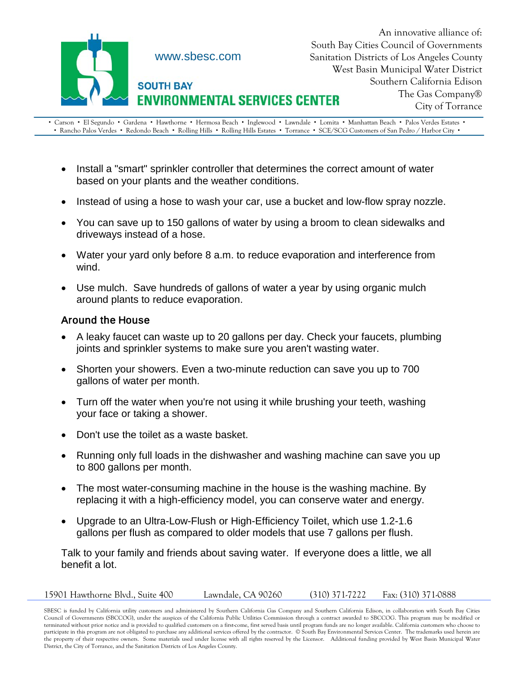

An innovative alliance of: South Bay Cities Council of Governments Sanitation Districts of Los Angeles County West Basin Municipal Water District Southern California Edison The Gas Company® City of Torrance

• Carson • El Segundo • Gardena • Hawthorne • Hermosa Beach • Inglewood • Lawndale • Lomita • Manhattan Beach • Palos Verdes Estates • • Rancho Palos Verdes • Redondo Beach • Rolling Hills • Rolling Hills Estates • Torrance • SCE/SCG Customers of San Pedro / Harbor City •

- Install a "smart" sprinkler controller that determines the correct amount of water based on your plants and the weather conditions.
- Instead of using a hose to wash your car, use a bucket and low-flow spray nozzle.
- You can save up to 150 gallons of water by using a broom to clean sidewalks and driveways instead of a hose.
- Water your yard only before 8 a.m. to reduce evaporation and interference from wind.
- Use mulch. Save hundreds of gallons of water a year by using organic mulch around plants to reduce evaporation.

#### Around the House

- A leaky faucet can waste up to 20 gallons per day. Check your faucets, plumbing joints and sprinkler systems to make sure you aren't wasting water.
- Shorten your showers. Even a two-minute reduction can save you up to 700 gallons of water per month.
- Turn off the water when you're not using it while brushing your teeth, washing your face or taking a shower.
- Don't use the toilet as a waste basket.
- Running only full loads in the dishwasher and washing machine can save you up to 800 gallons per month.
- The most water-consuming machine in the house is the washing machine. By replacing it with a high-efficiency model, you can conserve water and energy.
- Upgrade to an Ultra-Low-Flush or High-Efficiency Toilet, which use 1.2-1.6 gallons per flush as compared to older models that use 7 gallons per flush.

Talk to your family and friends about saving water. If everyone does a little, we all benefit a lot.

| 15901 Hawthorne Blvd., Suite 400 | Lawndale, CA 90260 | $(310)$ 371-7222 | Fax: (310) 371-0888 |
|----------------------------------|--------------------|------------------|---------------------|
|----------------------------------|--------------------|------------------|---------------------|